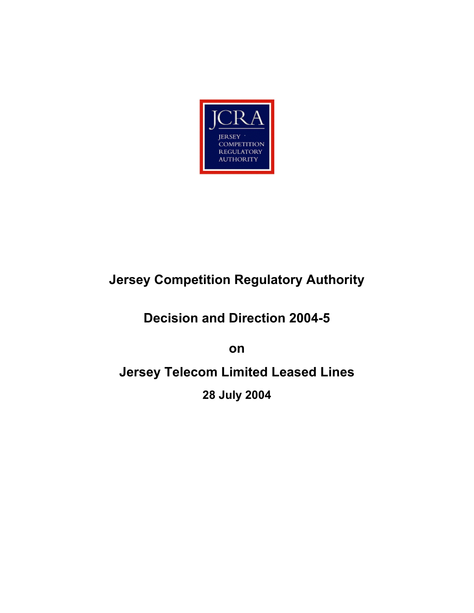

# **Jersey Competition Regulatory Authority**

## **Decision and Direction 2004-5**

**on** 

**Jersey Telecom Limited Leased Lines 28 July 2004**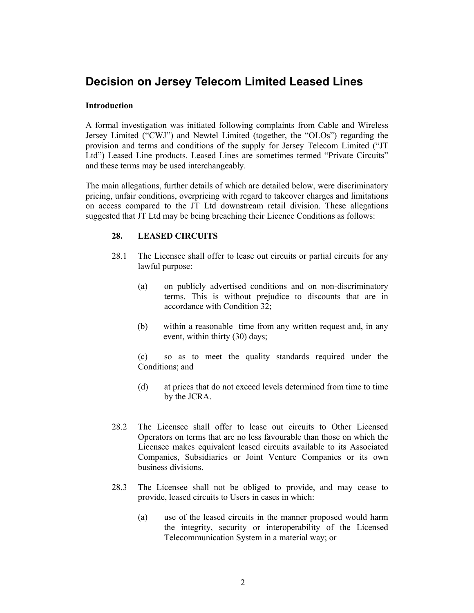### **Decision on Jersey Telecom Limited Leased Lines**

#### **Introduction**

A formal investigation was initiated following complaints from Cable and Wireless Jersey Limited ("CWJ") and Newtel Limited (together, the "OLOs") regarding the provision and terms and conditions of the supply for Jersey Telecom Limited ("JT Ltd") Leased Line products. Leased Lines are sometimes termed "Private Circuits" and these terms may be used interchangeably.

The main allegations, further details of which are detailed below, were discriminatory pricing, unfair conditions, overpricing with regard to takeover charges and limitations on access compared to the JT Ltd downstream retail division. These allegations suggested that JT Ltd may be being breaching their Licence Conditions as follows:

#### **28. LEASED CIRCUITS**

- 28.1 The Licensee shall offer to lease out circuits or partial circuits for any lawful purpose:
	- (a) on publicly advertised conditions and on non-discriminatory terms. This is without prejudice to discounts that are in accordance with Condition 32;
	- (b) within a reasonable time from any written request and, in any event, within thirty (30) days;

(c) so as to meet the quality standards required under the Conditions; and

- (d) at prices that do not exceed levels determined from time to time by the JCRA.
- 28.2 The Licensee shall offer to lease out circuits to Other Licensed Operators on terms that are no less favourable than those on which the Licensee makes equivalent leased circuits available to its Associated Companies, Subsidiaries or Joint Venture Companies or its own business divisions.
- 28.3 The Licensee shall not be obliged to provide, and may cease to provide, leased circuits to Users in cases in which:
	- (a) use of the leased circuits in the manner proposed would harm the integrity, security or interoperability of the Licensed Telecommunication System in a material way; or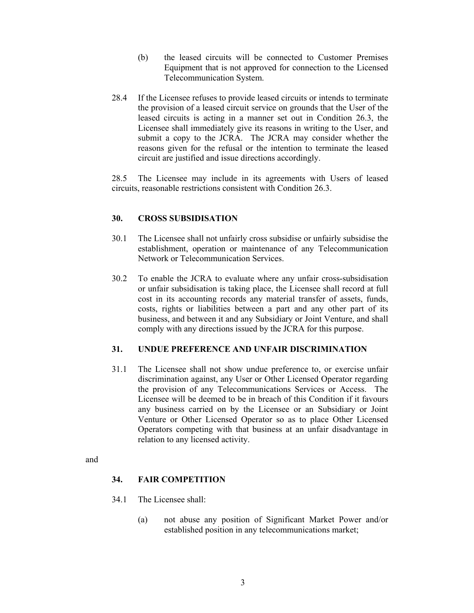- (b) the leased circuits will be connected to Customer Premises Equipment that is not approved for connection to the Licensed Telecommunication System.
- 28.4 If the Licensee refuses to provide leased circuits or intends to terminate the provision of a leased circuit service on grounds that the User of the leased circuits is acting in a manner set out in Condition 26.3, the Licensee shall immediately give its reasons in writing to the User, and submit a copy to the JCRA. The JCRA may consider whether the reasons given for the refusal or the intention to terminate the leased circuit are justified and issue directions accordingly.

28.5 The Licensee may include in its agreements with Users of leased circuits, reasonable restrictions consistent with Condition 26.3.

#### **30. CROSS SUBSIDISATION**

- 30.1 The Licensee shall not unfairly cross subsidise or unfairly subsidise the establishment, operation or maintenance of any Telecommunication Network or Telecommunication Services.
- 30.2 To enable the JCRA to evaluate where any unfair cross-subsidisation or unfair subsidisation is taking place, the Licensee shall record at full cost in its accounting records any material transfer of assets, funds, costs, rights or liabilities between a part and any other part of its business, and between it and any Subsidiary or Joint Venture, and shall comply with any directions issued by the JCRA for this purpose.

#### **31. UNDUE PREFERENCE AND UNFAIR DISCRIMINATION**

31.1 The Licensee shall not show undue preference to, or exercise unfair discrimination against, any User or Other Licensed Operator regarding the provision of any Telecommunications Services or Access. The Licensee will be deemed to be in breach of this Condition if it favours any business carried on by the Licensee or an Subsidiary or Joint Venture or Other Licensed Operator so as to place Other Licensed Operators competing with that business at an unfair disadvantage in relation to any licensed activity.

and

#### **34. FAIR COMPETITION**

- 34.1 The Licensee shall:
	- (a) not abuse any position of Significant Market Power and/or established position in any telecommunications market;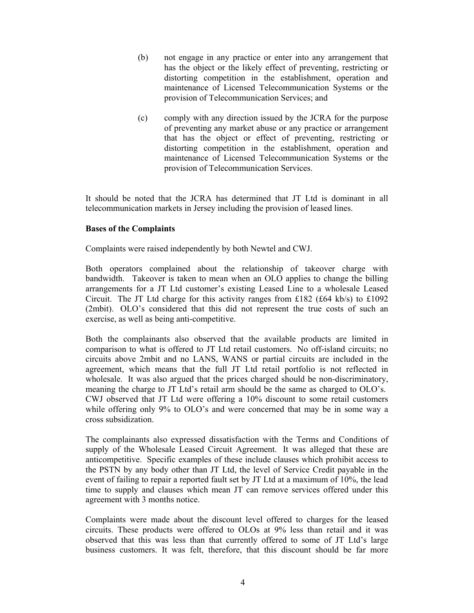- (b) not engage in any practice or enter into any arrangement that has the object or the likely effect of preventing, restricting or distorting competition in the establishment, operation and maintenance of Licensed Telecommunication Systems or the provision of Telecommunication Services; and
- (c) comply with any direction issued by the JCRA for the purpose of preventing any market abuse or any practice or arrangement that has the object or effect of preventing, restricting or distorting competition in the establishment, operation and maintenance of Licensed Telecommunication Systems or the provision of Telecommunication Services.

It should be noted that the JCRA has determined that JT Ltd is dominant in all telecommunication markets in Jersey including the provision of leased lines.

#### **Bases of the Complaints**

Complaints were raised independently by both Newtel and CWJ.

Both operators complained about the relationship of takeover charge with bandwidth. Takeover is taken to mean when an OLO applies to change the billing arrangements for a JT Ltd customer's existing Leased Line to a wholesale Leased Circuit. The JT Ltd charge for this activity ranges from £182 (£64 kb/s) to £1092 (2mbit). OLO's considered that this did not represent the true costs of such an exercise, as well as being anti-competitive.

Both the complainants also observed that the available products are limited in comparison to what is offered to JT Ltd retail customers. No off-island circuits; no circuits above 2mbit and no LANS, WANS or partial circuits are included in the agreement, which means that the full JT Ltd retail portfolio is not reflected in wholesale. It was also argued that the prices charged should be non-discriminatory, meaning the charge to JT Ltd's retail arm should be the same as charged to OLO's. CWJ observed that JT Ltd were offering a 10% discount to some retail customers while offering only 9% to OLO's and were concerned that may be in some way a cross subsidization.

The complainants also expressed dissatisfaction with the Terms and Conditions of supply of the Wholesale Leased Circuit Agreement. It was alleged that these are anticompetitive. Specific examples of these include clauses which prohibit access to the PSTN by any body other than JT Ltd, the level of Service Credit payable in the event of failing to repair a reported fault set by JT Ltd at a maximum of 10%, the lead time to supply and clauses which mean JT can remove services offered under this agreement with 3 months notice.

Complaints were made about the discount level offered to charges for the leased circuits. These products were offered to OLOs at 9% less than retail and it was observed that this was less than that currently offered to some of JT Ltd's large business customers. It was felt, therefore, that this discount should be far more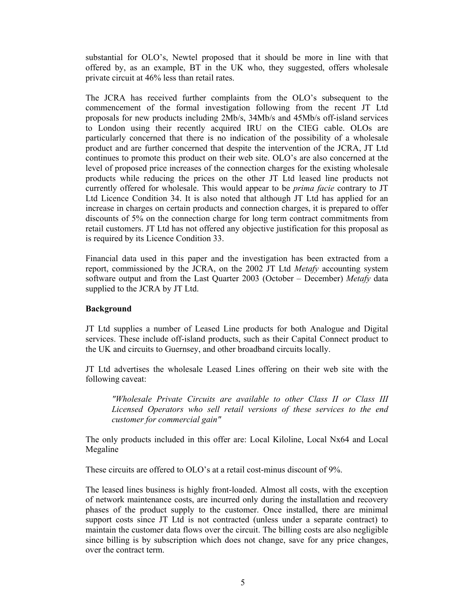substantial for OLO's, Newtel proposed that it should be more in line with that offered by, as an example, BT in the UK who, they suggested, offers wholesale private circuit at 46% less than retail rates.

The JCRA has received further complaints from the OLO's subsequent to the commencement of the formal investigation following from the recent JT Ltd proposals for new products including 2Mb/s, 34Mb/s and 45Mb/s off-island services to London using their recently acquired IRU on the CIEG cable. OLOs are particularly concerned that there is no indication of the possibility of a wholesale product and are further concerned that despite the intervention of the JCRA, JT Ltd continues to promote this product on their web site. OLO's are also concerned at the level of proposed price increases of the connection charges for the existing wholesale products while reducing the prices on the other JT Ltd leased line products not currently offered for wholesale. This would appear to be *prima facie* contrary to JT Ltd Licence Condition 34. It is also noted that although JT Ltd has applied for an increase in charges on certain products and connection charges, it is prepared to offer discounts of 5% on the connection charge for long term contract commitments from retail customers. JT Ltd has not offered any objective justification for this proposal as is required by its Licence Condition 33.

Financial data used in this paper and the investigation has been extracted from a report, commissioned by the JCRA, on the 2002 JT Ltd *Metafy* accounting system software output and from the Last Quarter 2003 (October – December) *Metafy* data supplied to the JCRA by JT Ltd.

#### **Background**

JT Ltd supplies a number of Leased Line products for both Analogue and Digital services. These include off-island products, such as their Capital Connect product to the UK and circuits to Guernsey, and other broadband circuits locally.

JT Ltd advertises the wholesale Leased Lines offering on their web site with the following caveat:

*"Wholesale Private Circuits are available to other Class II or Class III Licensed Operators who sell retail versions of these services to the end customer for commercial gain"* 

The only products included in this offer are: Local Kiloline, Local Nx64 and Local Megaline

These circuits are offered to OLO's at a retail cost-minus discount of 9%.

The leased lines business is highly front-loaded. Almost all costs, with the exception of network maintenance costs, are incurred only during the installation and recovery phases of the product supply to the customer. Once installed, there are minimal support costs since JT Ltd is not contracted (unless under a separate contract) to maintain the customer data flows over the circuit. The billing costs are also negligible since billing is by subscription which does not change, save for any price changes, over the contract term.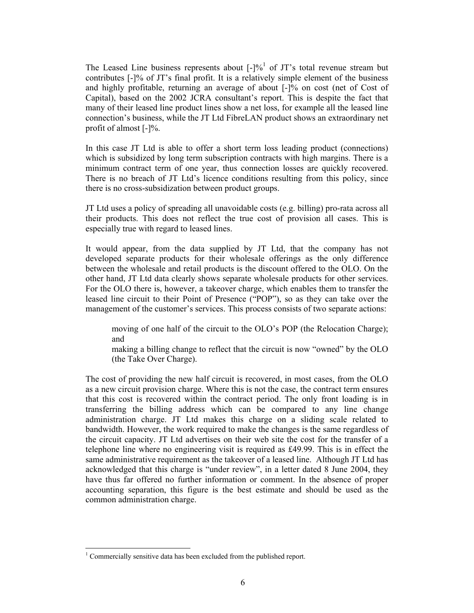The Leased Line business represents about  $\lceil - \cdot \rceil \frac{b_0}{\cdot} \rceil$  of JT's total revenue stream but contributes [-]% of JT's final profit. It is a relatively simple element of the business and highly profitable, returning an average of about [-]% on cost (net of Cost of Capital), based on the 2002 JCRA consultant's report. This is despite the fact that many of their leased line product lines show a net loss, for example all the leased line connection's business, while the JT Ltd FibreLAN product shows an extraordinary net profit of almost [-]%.

In this case JT Ltd is able to offer a short term loss leading product (connections) which is subsidized by long term subscription contracts with high margins. There is a minimum contract term of one year, thus connection losses are quickly recovered. There is no breach of JT Ltd's licence conditions resulting from this policy, since there is no cross-subsidization between product groups.

JT Ltd uses a policy of spreading all unavoidable costs (e.g. billing) pro-rata across all their products. This does not reflect the true cost of provision all cases. This is especially true with regard to leased lines.

It would appear, from the data supplied by JT Ltd, that the company has not developed separate products for their wholesale offerings as the only difference between the wholesale and retail products is the discount offered to the OLO. On the other hand, JT Ltd data clearly shows separate wholesale products for other services. For the OLO there is, however, a takeover charge, which enables them to transfer the leased line circuit to their Point of Presence ("POP"), so as they can take over the management of the customer's services. This process consists of two separate actions:

moving of one half of the circuit to the OLO's POP (the Relocation Charge); and

making a billing change to reflect that the circuit is now "owned" by the OLO (the Take Over Charge).

The cost of providing the new half circuit is recovered, in most cases, from the OLO as a new circuit provision charge. Where this is not the case, the contract term ensures that this cost is recovered within the contract period. The only front loading is in transferring the billing address which can be compared to any line change administration charge. JT Ltd makes this charge on a sliding scale related to bandwidth. However, the work required to make the changes is the same regardless of the circuit capacity. JT Ltd advertises on their web site the cost for the transfer of a telephone line where no engineering visit is required as £49.99. This is in effect the same administrative requirement as the takeover of a leased line. Although JT Ltd has acknowledged that this charge is "under review", in a letter dated 8 June 2004, they have thus far offered no further information or comment. In the absence of proper accounting separation, this figure is the best estimate and should be used as the common administration charge.

 $\overline{a}$ 

<sup>&</sup>lt;sup>1</sup> Commercially sensitive data has been excluded from the published report.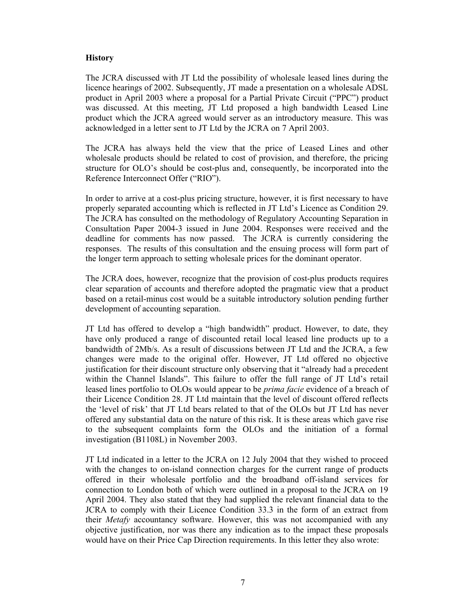#### **History**

The JCRA discussed with JT Ltd the possibility of wholesale leased lines during the licence hearings of 2002. Subsequently, JT made a presentation on a wholesale ADSL product in April 2003 where a proposal for a Partial Private Circuit ("PPC") product was discussed. At this meeting, JT Ltd proposed a high bandwidth Leased Line product which the JCRA agreed would server as an introductory measure. This was acknowledged in a letter sent to JT Ltd by the JCRA on 7 April 2003.

The JCRA has always held the view that the price of Leased Lines and other wholesale products should be related to cost of provision, and therefore, the pricing structure for OLO's should be cost-plus and, consequently, be incorporated into the Reference Interconnect Offer ("RIO").

In order to arrive at a cost-plus pricing structure, however, it is first necessary to have properly separated accounting which is reflected in JT Ltd's Licence as Condition 29. The JCRA has consulted on the methodology of Regulatory Accounting Separation in Consultation Paper 2004-3 issued in June 2004. Responses were received and the deadline for comments has now passed. The JCRA is currently considering the responses. The results of this consultation and the ensuing process will form part of the longer term approach to setting wholesale prices for the dominant operator.

The JCRA does, however, recognize that the provision of cost-plus products requires clear separation of accounts and therefore adopted the pragmatic view that a product based on a retail-minus cost would be a suitable introductory solution pending further development of accounting separation.

JT Ltd has offered to develop a "high bandwidth" product. However, to date, they have only produced a range of discounted retail local leased line products up to a bandwidth of 2Mb/s. As a result of discussions between JT Ltd and the JCRA, a few changes were made to the original offer. However, JT Ltd offered no objective justification for their discount structure only observing that it "already had a precedent within the Channel Islands". This failure to offer the full range of JT Ltd's retail leased lines portfolio to OLOs would appear to be *prima facie* evidence of a breach of their Licence Condition 28. JT Ltd maintain that the level of discount offered reflects the 'level of risk' that JT Ltd bears related to that of the OLOs but JT Ltd has never offered any substantial data on the nature of this risk. It is these areas which gave rise to the subsequent complaints form the OLOs and the initiation of a formal investigation (B1108L) in November 2003.

JT Ltd indicated in a letter to the JCRA on 12 July 2004 that they wished to proceed with the changes to on-island connection charges for the current range of products offered in their wholesale portfolio and the broadband off-island services for connection to London both of which were outlined in a proposal to the JCRA on 19 April 2004. They also stated that they had supplied the relevant financial data to the JCRA to comply with their Licence Condition 33.3 in the form of an extract from their *Metafy* accountancy software. However, this was not accompanied with any objective justification, nor was there any indication as to the impact these proposals would have on their Price Cap Direction requirements. In this letter they also wrote: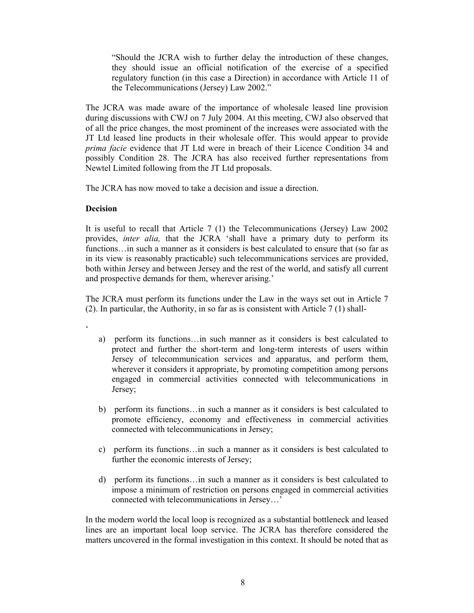"Should the JCRA wish to further delay the introduction of these changes, they should issue an official notification of the exercise of a specified regulatory function (in this case a Direction) in accordance with Article 11 of the Telecommunications (Jersey) Law 2002."

The JCRA was made aware of the importance of wholesale leased line provision during discussions with CWJ on 7 July 2004. At this meeting, CWJ also observed that of all the price changes, the most prominent of the increases were associated with the JT Ltd leased line products in their wholesale offer. This would appear to provide *prima facie* evidence that JT Ltd were in breach of their Licence Condition 34 and possibly Condition 28. The JCRA has also received further representations from Newtel Limited following from the JT Ltd proposals.

The JCRA has now moved to take a decision and issue a direction.

#### **Decision**

 $\epsilon$ 

It is useful to recall that Article 7 (1) the Telecommunications (Jersey) Law 2002 provides, *inter alia,* that the JCRA 'shall have a primary duty to perform its functions... in such a manner as it considers is best calculated to ensure that (so far as in its view is reasonably practicable) such telecommunications services are provided, both within Jersey and between Jersey and the rest of the world, and satisfy all current and prospective demands for them, wherever arising.'

The JCRA must perform its functions under the Law in the ways set out in Article 7 (2). In particular, the Authority, in so far as is consistent with Article 7 (1) shall-

- a) perform its functions…in such manner as it considers is best calculated to protect and further the short-term and long-term interests of users within Jersey of telecommunication services and apparatus, and perform them, wherever it considers it appropriate, by promoting competition among persons engaged in commercial activities connected with telecommunications in Jersey;
- b) perform its functions…in such a manner as it considers is best calculated to promote efficiency, economy and effectiveness in commercial activities connected with telecommunications in Jersey;
- c) perform its functions…in such a manner as it considers is best calculated to further the economic interests of Jersey;
- d) perform its functions…in such a manner as it considers is best calculated to impose a minimum of restriction on persons engaged in commercial activities connected with telecommunications in Jersey…'

In the modern world the local loop is recognized as a substantial bottleneck and leased lines are an important local loop service. The JCRA has therefore considered the matters uncovered in the formal investigation in this context. It should be noted that as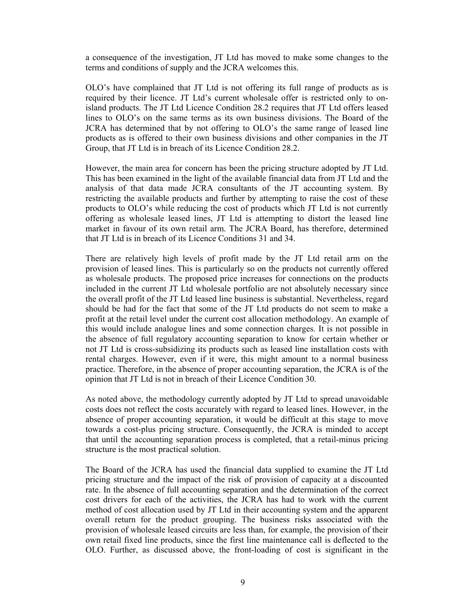a consequence of the investigation, JT Ltd has moved to make some changes to the terms and conditions of supply and the JCRA welcomes this.

OLO's have complained that JT Ltd is not offering its full range of products as is required by their licence. JT Ltd's current wholesale offer is restricted only to onisland products. The JT Ltd Licence Condition 28.2 requires that JT Ltd offers leased lines to OLO's on the same terms as its own business divisions. The Board of the JCRA has determined that by not offering to OLO's the same range of leased line products as is offered to their own business divisions and other companies in the JT Group, that JT Ltd is in breach of its Licence Condition 28.2.

However, the main area for concern has been the pricing structure adopted by JT Ltd. This has been examined in the light of the available financial data from JT Ltd and the analysis of that data made JCRA consultants of the JT accounting system. By restricting the available products and further by attempting to raise the cost of these products to OLO's while reducing the cost of products which JT Ltd is not currently offering as wholesale leased lines, JT Ltd is attempting to distort the leased line market in favour of its own retail arm. The JCRA Board, has therefore, determined that JT Ltd is in breach of its Licence Conditions 31 and 34.

There are relatively high levels of profit made by the JT Ltd retail arm on the provision of leased lines. This is particularly so on the products not currently offered as wholesale products. The proposed price increases for connections on the products included in the current JT Ltd wholesale portfolio are not absolutely necessary since the overall profit of the JT Ltd leased line business is substantial. Nevertheless, regard should be had for the fact that some of the JT Ltd products do not seem to make a profit at the retail level under the current cost allocation methodology. An example of this would include analogue lines and some connection charges. It is not possible in the absence of full regulatory accounting separation to know for certain whether or not JT Ltd is cross-subsidizing its products such as leased line installation costs with rental charges. However, even if it were, this might amount to a normal business practice. Therefore, in the absence of proper accounting separation, the JCRA is of the opinion that JT Ltd is not in breach of their Licence Condition 30.

As noted above, the methodology currently adopted by JT Ltd to spread unavoidable costs does not reflect the costs accurately with regard to leased lines. However, in the absence of proper accounting separation, it would be difficult at this stage to move towards a cost-plus pricing structure. Consequently, the JCRA is minded to accept that until the accounting separation process is completed, that a retail-minus pricing structure is the most practical solution.

The Board of the JCRA has used the financial data supplied to examine the JT Ltd pricing structure and the impact of the risk of provision of capacity at a discounted rate. In the absence of full accounting separation and the determination of the correct cost drivers for each of the activities, the JCRA has had to work with the current method of cost allocation used by JT Ltd in their accounting system and the apparent overall return for the product grouping. The business risks associated with the provision of wholesale leased circuits are less than, for example, the provision of their own retail fixed line products, since the first line maintenance call is deflected to the OLO. Further, as discussed above, the front-loading of cost is significant in the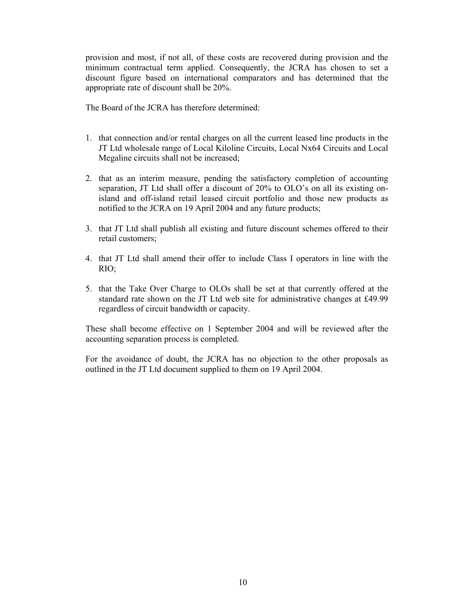provision and most, if not all, of these costs are recovered during provision and the minimum contractual term applied. Consequently, the JCRA has chosen to set a discount figure based on international comparators and has determined that the appropriate rate of discount shall be 20%.

The Board of the JCRA has therefore determined:

- 1. that connection and/or rental charges on all the current leased line products in the JT Ltd wholesale range of Local Kiloline Circuits, Local Nx64 Circuits and Local Megaline circuits shall not be increased;
- 2. that as an interim measure, pending the satisfactory completion of accounting separation, JT Ltd shall offer a discount of 20% to OLO's on all its existing onisland and off-island retail leased circuit portfolio and those new products as notified to the JCRA on 19 April 2004 and any future products;
- 3. that JT Ltd shall publish all existing and future discount schemes offered to their retail customers;
- 4. that JT Ltd shall amend their offer to include Class I operators in line with the RIO;
- 5. that the Take Over Charge to OLOs shall be set at that currently offered at the standard rate shown on the JT Ltd web site for administrative changes at £49.99 regardless of circuit bandwidth or capacity.

These shall become effective on 1 September 2004 and will be reviewed after the accounting separation process is completed.

For the avoidance of doubt, the JCRA has no objection to the other proposals as outlined in the JT Ltd document supplied to them on 19 April 2004.